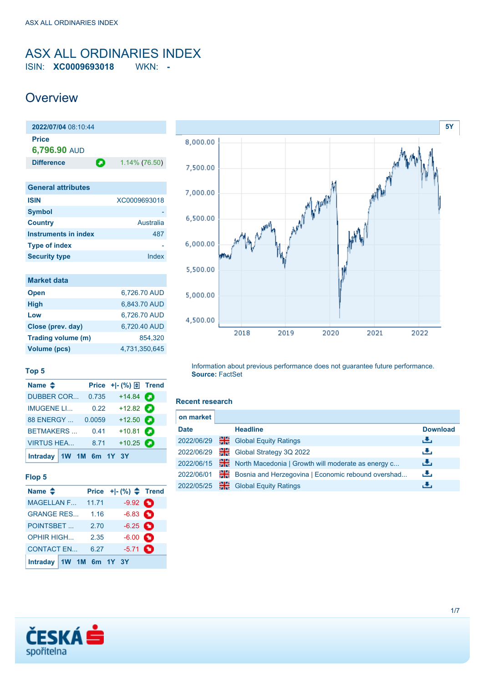### <span id="page-0-0"></span>ASX ALL ORDINARIES INDEX ISIN: **XC0009693018** WKN: **-**

## **Overview**

| 2022/07/04 08:10:44          |   |                  |
|------------------------------|---|------------------|
| <b>Price</b><br>6,796.90 AUD |   |                  |
| <b>Difference</b>            | о | $1.14\%$ (76.50) |
|                              |   |                  |
| <b>General attributes</b>    |   |                  |

| <b>ISIN</b>          | XC0009693018 |
|----------------------|--------------|
| <b>Symbol</b>        |              |
| <b>Country</b>       | Australia    |
| Instruments in index | 487          |
| <b>Type of index</b> |              |
| <b>Security type</b> | Index        |

| <b>Market data</b> |               |
|--------------------|---------------|
| <b>Open</b>        | 6,726.70 AUD  |
| <b>High</b>        | 6,843.70 AUD  |
| Low                | 6.726.70 AUD  |
| Close (prev. day)  | 6.720.40 AUD  |
| Trading volume (m) | 854.320       |
| Volume (pcs)       | 4.731.350.645 |



#### **Top 5**

| Name $\triangleq$         |        | Price $+$ $ \binom{9}{0}$ $\boxed{\frac{1}{2}}$ Trend |   |
|---------------------------|--------|-------------------------------------------------------|---|
| <b>DUBBER COR</b>         | 0.735  | $+14.84$ $\odot$                                      |   |
| <b>IMUGENE LI</b>         | 0.22   | $+12.82$                                              |   |
| 88 ENERGY                 | 0.0059 | $+12.50$ $\bullet$                                    |   |
| <b>BETMAKERS</b>          | 0.41   | $+10.81$                                              | О |
| <b>VIRTUS HEA</b>         | 8.71   | $+10.25$                                              |   |
| Intraday $1W$ 1M 6m 1Y 3Y |        |                                                       |   |

#### **Flop 5**

| Name $\triangleq$ |                |       | Price $+$ $ \binom{96}{2}$ Trend |  |
|-------------------|----------------|-------|----------------------------------|--|
| <b>MAGELLAN F</b> |                | 11.71 | $-9.92$ $\bullet$                |  |
| <b>GRANGE RES</b> |                | 1.16  | $-6.83$ $\bullet$                |  |
| <b>POINTSBET</b>  |                | 2.70  | $-6.25$ $\bullet$                |  |
| <b>OPHIR HIGH</b> |                | 2.35  | $-6.00$ $\bullet$                |  |
| <b>CONTACT EN</b> |                | 6.27  | $-5.71$ $\bullet$                |  |
| <b>Intraday</b>   | 1W 1M 6m 1Y 3Y |       |                                  |  |

Information about previous performance does not guarantee future performance. **Source:** FactSet

#### **Recent research**

| on market   |    |                                                    |                 |
|-------------|----|----------------------------------------------------|-----------------|
| <b>Date</b> |    | <b>Headline</b>                                    | <b>Download</b> |
| 2022/06/29  | 꾊  | <b>Global Equity Ratings</b>                       | رنان            |
| 2022/06/29  | 꾉뚢 | Global Strategy 3Q 2022                            | رنان            |
| 2022/06/15  | 픪쯩 | North Macedonia   Growth will moderate as energy c | 出               |
| 2022/06/01  | 읢Ѥ | Bosnia and Herzegovina   Economic rebound overshad | رالى            |
| 2022/05/25  | 噐  | <b>Global Equity Ratings</b>                       | J.              |

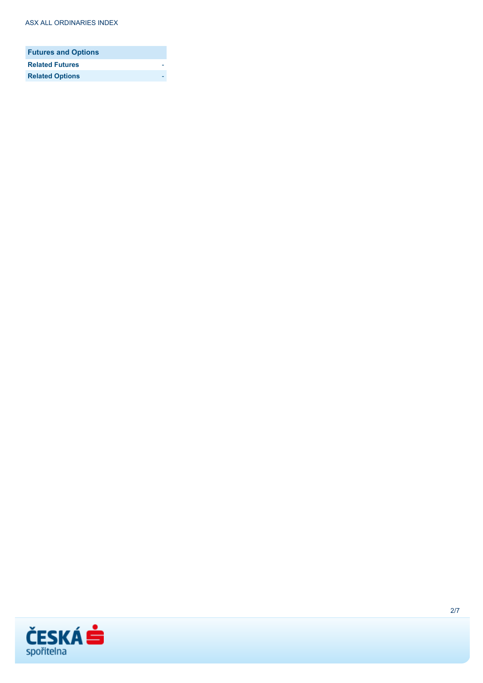| <b>Futures and Options</b> |  |
|----------------------------|--|
| <b>Related Futures</b>     |  |
| <b>Related Options</b>     |  |

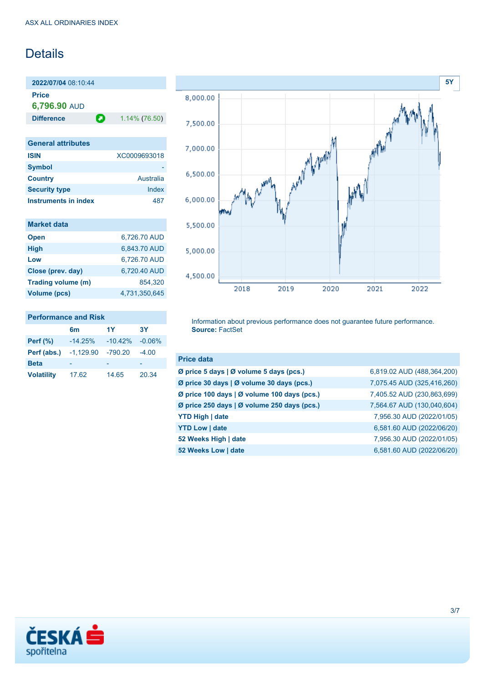## **Details**

**2022/07/04** 08:10:44 **Price 6,796.90** AUD

**Difference 1.14% (76.50)** 

| <b>General attributes</b> |              |
|---------------------------|--------------|
| <b>ISIN</b>               | XC0009693018 |
| <b>Symbol</b>             |              |
| <b>Country</b>            | Australia    |
| <b>Security type</b>      | Index        |
| Instruments in index      | 487          |

| <b>Market data</b> |               |
|--------------------|---------------|
| <b>Open</b>        | 6.726.70 AUD  |
| <b>High</b>        | 6,843.70 AUD  |
| Low                | 6,726.70 AUD  |
| Close (prev. day)  | 6.720.40 AUD  |
| Trading volume (m) | 854.320       |
| Volume (pcs)       | 4.731.350.645 |

#### **Performance and Risk**

|                   | 6m          | 1Y        | 3Y       |
|-------------------|-------------|-----------|----------|
| Perf $(\%)$       | $-14.25%$   | $-10.42%$ | $-0.06%$ |
| Perf (abs.)       | $-1.129.90$ | $-790.20$ | $-4.00$  |
| <b>Beta</b>       |             |           |          |
| <b>Volatility</b> | 17.62       | 14.65     | 20.34    |



Information about previous performance does not guarantee future performance. **Source:** FactSet

| <b>Price data</b>                           |                            |
|---------------------------------------------|----------------------------|
| Ø price 5 days   Ø volume 5 days (pcs.)     | 6,819.02 AUD (488,364,200) |
| Ø price 30 days   Ø volume 30 days (pcs.)   | 7,075.45 AUD (325,416,260) |
| Ø price 100 days   Ø volume 100 days (pcs.) | 7,405.52 AUD (230,863,699) |
| Ø price 250 days   Ø volume 250 days (pcs.) | 7,564.67 AUD (130,040,604) |
| <b>YTD High   date</b>                      | 7,956.30 AUD (2022/01/05)  |
| <b>YTD Low   date</b>                       | 6,581.60 AUD (2022/06/20)  |
| 52 Weeks High   date                        | 7,956.30 AUD (2022/01/05)  |
| 52 Weeks Low   date                         | 6,581.60 AUD (2022/06/20)  |

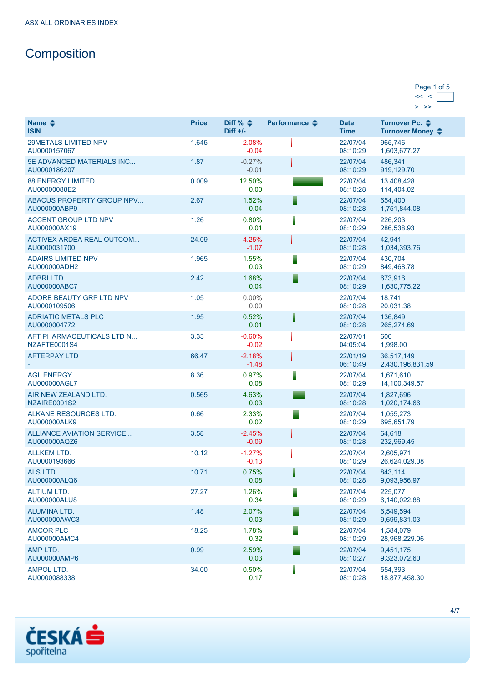# **Composition**

| Page 1 of 5 |  |
|-------------|--|
|             |  |
|             |  |

| Name $\triangle$<br><b>ISIN</b>                  | <b>Price</b> | Diff % $\triangleq$<br>$Diff +/-$ | Performance $\clubsuit$ | <b>Date</b><br><b>Time</b> | Turnover Pc. ♦<br>Turnover Money ♦ |
|--------------------------------------------------|--------------|-----------------------------------|-------------------------|----------------------------|------------------------------------|
| <b>29METALS LIMITED NPV</b><br>AU0000157067      | 1.645        | $-2.08%$<br>$-0.04$               |                         | 22/07/04<br>08:10:29       | 965,746<br>1,603,677.27            |
| 5E ADVANCED MATERIALS INC<br>AU0000186207        | 1.87         | $-0.27%$<br>$-0.01$               |                         | 22/07/04<br>08:10:29       | 486,341<br>919,129.70              |
| <b>88 ENERGY LIMITED</b><br>AU00000088E2         | 0.009        | 12.50%<br>0.00                    |                         | 22/07/04<br>08:10:28       | 13,408,428<br>114,404.02           |
| ABACUS PROPERTY GROUP NPV<br>AU000000ABP9        | 2.67         | 1.52%<br>0.04                     |                         | 22/07/04<br>08:10:28       | 654,400<br>1,751,844.08            |
| <b>ACCENT GROUP LTD NPV</b><br>AU000000AX19      | 1.26         | 0.80%<br>0.01                     |                         | 22/07/04<br>08:10:29       | 226,203<br>286,538.93              |
| <b>ACTIVEX ARDEA REAL OUTCOM</b><br>AU0000031700 | 24.09        | $-4.25%$<br>$-1.07$               |                         | 22/07/04<br>08:10:28       | 42,941<br>1,034,393.76             |
| <b>ADAIRS LIMITED NPV</b><br>AU000000ADH2        | 1.965        | 1.55%<br>0.03                     |                         | 22/07/04<br>08:10:29       | 430,704<br>849,468.78              |
| <b>ADBRILTD.</b><br>AU000000ABC7                 | 2.42         | 1.68%<br>0.04                     |                         | 22/07/04<br>08:10:29       | 673,916<br>1,630,775.22            |
| ADORE BEAUTY GRP LTD NPV<br>AU0000109506         | 1.05         | $0.00\%$<br>0.00                  |                         | 22/07/04<br>08:10:28       | 18,741<br>20,031.38                |
| <b>ADRIATIC METALS PLC</b><br>AU0000004772       | 1.95         | 0.52%<br>0.01                     |                         | 22/07/04<br>08:10:28       | 136,849<br>265,274.69              |
| AFT PHARMACEUTICALS LTD N<br>NZAFTE0001S4        | 3.33         | $-0.60%$<br>$-0.02$               |                         | 22/07/01<br>04:05:04       | 600<br>1,998.00                    |
| <b>AFTERPAY LTD</b>                              | 66.47        | $-2.18%$<br>$-1.48$               |                         | 22/01/19<br>06:10:49       | 36,517,149<br>2,430,196,831.59     |
| <b>AGL ENERGY</b><br>AU000000AGL7                | 8.36         | 0.97%<br>0.08                     |                         | 22/07/04<br>08:10:29       | 1,671,610<br>14,100,349.57         |
| AIR NEW ZEALAND LTD.<br>NZAIRE0001S2             | 0.565        | 4.63%<br>0.03                     |                         | 22/07/04<br>08:10:28       | 1,827,696<br>1,020,174.66          |
| ALKANE RESOURCES LTD.<br>AU000000ALK9            | 0.66         | 2.33%<br>0.02                     |                         | 22/07/04<br>08:10:29       | 1,055,273<br>695,651.79            |
| <b>ALLIANCE AVIATION SERVICE</b><br>AU000000AQZ6 | 3.58         | $-2.45%$<br>$-0.09$               |                         | 22/07/04<br>08:10:28       | 64.618<br>232,969.45               |
| <b>ALLKEM LTD.</b><br>AU0000193666               | 10.12        | $-1.27%$<br>$-0.13$               |                         | 22/07/04<br>08:10:29       | 2,605,971<br>26,624,029.08         |
| ALS LTD.<br>AU000000ALQ6                         | 10.71        | 0.75%<br>0.08                     |                         | 22/07/04<br>08:10:28       | 843,114<br>9,093,956.97            |
| <b>ALTIUM LTD.</b><br>AU000000ALU8               | 27.27        | 1.26%<br>0.34                     |                         | 22/07/04<br>08:10:29       | 225.077<br>6,140,022.88            |
| ALUMINA LTD.<br>AU000000AWC3                     | 1.48         | 2.07%<br>0.03                     |                         | 22/07/04<br>08:10:29       | 6,549,594<br>9,699,831.03          |
| <b>AMCOR PLC</b><br>AU000000AMC4                 | 18.25        | 1.78%<br>0.32                     |                         | 22/07/04<br>08:10:29       | 1,584,079<br>28,968,229.06         |
| AMP LTD.<br>AU000000AMP6                         | 0.99         | 2.59%<br>0.03                     |                         | 22/07/04<br>08:10:27       | 9,451,175<br>9,323,072.60          |
| <b>AMPOL LTD.</b><br>AU0000088338                | 34.00        | 0.50%<br>0.17                     |                         | 22/07/04<br>08:10:28       | 554,393<br>18,877,458.30           |

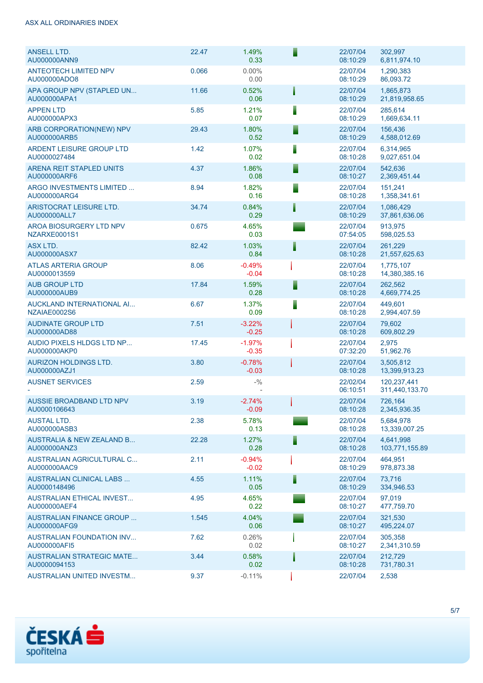| ASX ALL ORDINARIES INDEX |
|--------------------------|
|                          |

| <b>ANSELL LTD.</b><br>AU000000ANN9                   | 22.47 | 1.49%<br>0.33       | F | 22/07/04<br>08:10:29 | 302,997<br>6,811,974.10       |
|------------------------------------------------------|-------|---------------------|---|----------------------|-------------------------------|
| <b>ANTEOTECH LIMITED NPV</b><br>AU000000ADO8         | 0.066 | $0.00\%$<br>0.00    |   | 22/07/04<br>08:10:29 | 1,290,383<br>86,093.72        |
| APA GROUP NPV (STAPLED UN<br>AU000000APA1            | 11.66 | 0.52%<br>0.06       | Ħ | 22/07/04<br>08:10:29 | 1,865,873<br>21,819,958.65    |
| <b>APPEN LTD</b><br>AU000000APX3                     | 5.85  | 1.21%<br>0.07       | ▋ | 22/07/04<br>08:10:29 | 285,614<br>1,669,634.11       |
| ARB CORPORATION(NEW) NPV<br>AU000000ARB5             | 29.43 | 1.80%<br>0.52       | Ē | 22/07/04<br>08:10:29 | 156,436<br>4,588,012.69       |
| <b>ARDENT LEISURE GROUP LTD</b><br>AU0000027484      | 1.42  | 1.07%<br>0.02       | ▌ | 22/07/04<br>08:10:28 | 6,314,965<br>9,027,651.04     |
| ARENA REIT STAPLED UNITS<br>AU000000ARF6             | 4.37  | 1.86%<br>0.08       | Е | 22/07/04<br>08:10:27 | 542,636<br>2,369,451.44       |
| ARGO INVESTMENTS LIMITED<br>AU000000ARG4             | 8.94  | 1.82%<br>0.16       |   | 22/07/04<br>08:10:28 | 151,241<br>1,358,341.61       |
| ARISTOCRAT LEISURE LTD.<br>AU000000ALL7              | 34.74 | 0.84%<br>0.29       | I | 22/07/04<br>08:10:29 | 1,086,429<br>37,861,636.06    |
| AROA BIOSURGERY LTD NPV<br>NZARXE0001S1              | 0.675 | 4.65%<br>0.03       |   | 22/07/04<br>07:54:05 | 913,975<br>598,025.53         |
| ASX LTD.<br>AU000000ASX7                             | 82.42 | 1.03%<br>0.84       | Ī | 22/07/04<br>08:10:28 | 261,229<br>21,557,625.63      |
| <b>ATLAS ARTERIA GROUP</b><br>AU0000013559           | 8.06  | $-0.49%$<br>$-0.04$ |   | 22/07/04<br>08:10:28 | 1,775,107<br>14,380,385.16    |
| <b>AUB GROUP LTD</b><br>AU000000AUB9                 | 17.84 | 1.59%<br>0.28       | E | 22/07/04<br>08:10:28 | 262,562<br>4,669,774.25       |
| AUCKLAND INTERNATIONAL AI<br>NZAIAE0002S6            | 6.67  | 1.37%<br>0.09       | ▌ | 22/07/04<br>08:10:28 | 449,601<br>2,994,407.59       |
| <b>AUDINATE GROUP LTD</b><br>AU000000AD88            | 7.51  | $-3.22%$<br>$-0.25$ |   | 22/07/04<br>08:10:28 | 79,602<br>609,802.29          |
| AUDIO PIXELS HLDGS LTD NP<br>AU000000AKP0            | 17.45 | $-1.97%$<br>$-0.35$ |   | 22/07/04<br>07:32:20 | 2,975<br>51,962.76            |
| <b>AURIZON HOLDINGS LTD.</b><br>AU000000AZJ1         | 3.80  | $-0.78%$<br>$-0.03$ |   | 22/07/04<br>08:10:28 | 3,505,812<br>13,399,913.23    |
| <b>AUSNET SERVICES</b>                               | 2.59  | $- \frac{0}{0}$     |   | 22/02/04<br>06:10:51 | 120,237,441<br>311,440,133.70 |
| AUSSIE BROADBAND LTD NPV<br>AU0000106643             | 3.19  | $-2.74%$<br>$-0.09$ |   | 22/07/04<br>08:10:28 | 726,164<br>2,345,936.35       |
| <b>AUSTAL LTD.</b><br>AU000000ASB3                   | 2.38  | 5.78%<br>0.13       |   | 22/07/04<br>08:10:28 | 5,684,978<br>13,339,007.25    |
| <b>AUSTRALIA &amp; NEW ZEALAND B</b><br>AU000000ANZ3 | 22.28 | 1.27%<br>0.28       |   | 22/07/04<br>08:10:28 | 4,641,998<br>103,771,155.89   |
| <b>AUSTRALIAN AGRICULTURAL C</b><br>AU000000AAC9     | 2.11  | $-0.94%$<br>$-0.02$ |   | 22/07/04<br>08:10:29 | 464,951<br>978,873.38         |
| <b>AUSTRALIAN CLINICAL LABS </b><br>AU0000148496     | 4.55  | 1.11%<br>0.05       |   | 22/07/04<br>08:10:29 | 73.716<br>334,946.53          |
| <b>AUSTRALIAN ETHICAL INVEST</b><br>AU000000AEF4     | 4.95  | 4.65%<br>0.22       |   | 22/07/04<br>08:10:27 | 97,019<br>477,759.70          |
| <b>AUSTRALIAN FINANCE GROUP </b><br>AU000000AFG9     | 1.545 | 4.04%<br>0.06       |   | 22/07/04<br>08:10:27 | 321,530<br>495,224.07         |
| <b>AUSTRALIAN FOUNDATION INV</b><br>AU000000AFI5     | 7.62  | 0.26%<br>0.02       |   | 22/07/04<br>08:10:27 | 305,358<br>2,341,310.59       |
| <b>AUSTRALIAN STRATEGIC MATE</b><br>AU0000094153     | 3.44  | 0.58%<br>0.02       |   | 22/07/04<br>08:10:28 | 212,729<br>731,780.31         |
| <b>AUSTRALIAN UNITED INVESTM</b>                     | 9.37  | $-0.11%$            |   | 22/07/04             | 2,538                         |

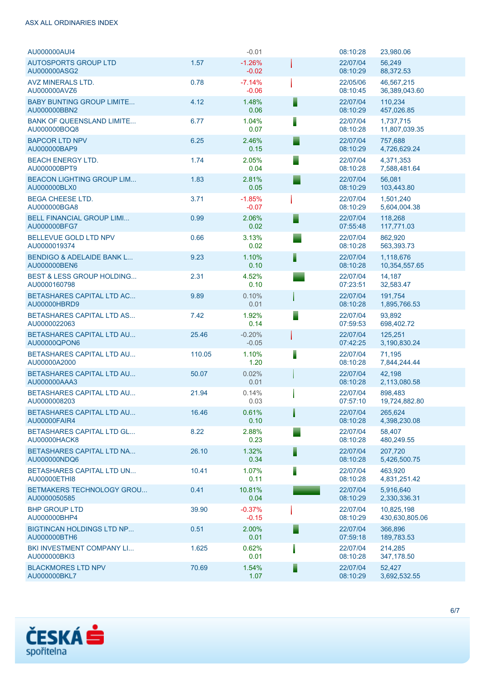#### ASX ALL ORDINARIES INDEX

| AU000000AUI4                                         |        | $-0.01$             |   | 08:10:28             | 23,980.06                    |
|------------------------------------------------------|--------|---------------------|---|----------------------|------------------------------|
| <b>AUTOSPORTS GROUP LTD</b><br>AU000000ASG2          | 1.57   | $-1.26%$<br>$-0.02$ |   | 22/07/04<br>08:10:29 | 56,249<br>88,372.53          |
| AVZ MINERALS LTD.<br>AU000000AVZ6                    | 0.78   | $-7.14%$<br>$-0.06$ |   | 22/05/06<br>08:10:45 | 46,567,215<br>36,389,043.60  |
| <b>BABY BUNTING GROUP LIMITE</b><br>AU000000BBN2     | 4.12   | 1.48%<br>0.06       | ┋ | 22/07/04<br>08:10:29 | 110.234<br>457,026.85        |
| <b>BANK OF QUEENSLAND LIMITE</b><br>AU000000BOQ8     | 6.77   | 1.04%<br>0.07       | Ē | 22/07/04<br>08:10:28 | 1,737,715<br>11,807,039.35   |
| <b>BAPCOR LTD NPV</b><br>AU000000BAP9                | 6.25   | 2.46%<br>0.15       |   | 22/07/04<br>08:10:29 | 757.688<br>4,726,629.24      |
| <b>BEACH ENERGY LTD.</b><br>AU000000BPT9             | 1.74   | 2.05%<br>0.04       |   | 22/07/04<br>08:10:28 | 4,371,353<br>7,588,481.64    |
| <b>BEACON LIGHTING GROUP LIM</b><br>AU000000BLX0     | 1.83   | 2.81%<br>0.05       |   | 22/07/04<br>08:10:29 | 56,081<br>103,443.80         |
| <b>BEGA CHEESE LTD.</b><br>AU000000BGA8              | 3.71   | $-1.85%$<br>$-0.07$ |   | 22/07/04<br>08:10:29 | 1,501,240<br>5,604,004.38    |
| <b>BELL FINANCIAL GROUP LIMI</b><br>AU000000BFG7     | 0.99   | 2.06%<br>0.02       |   | 22/07/04<br>07:55:48 | 118,268<br>117,771.03        |
| BELLEVUE GOLD LTD NPV<br>AU0000019374                | 0.66   | 3.13%<br>0.02       |   | 22/07/04<br>08:10:28 | 862,920<br>563,393.73        |
| <b>BENDIGO &amp; ADELAIDE BANK L</b><br>AU000000BEN6 | 9.23   | 1.10%<br>0.10       | F | 22/07/04<br>08:10:28 | 1,118,676<br>10,354,557.65   |
| <b>BEST &amp; LESS GROUP HOLDING</b><br>AU0000160798 | 2.31   | 4.52%<br>0.10       |   | 22/07/04<br>07:23:51 | 14.187<br>32,583.47          |
| <b>BETASHARES CAPITAL LTD AC</b><br>AU00000HBRD9     | 9.89   | 0.10%<br>0.01       |   | 22/07/04<br>08:10:28 | 191,754<br>1,895,766.53      |
| <b>BETASHARES CAPITAL LTD AS</b><br>AU0000022063     | 7.42   | 1.92%<br>0.14       |   | 22/07/04<br>07:59:53 | 93,892<br>698,402.72         |
| <b>BETASHARES CAPITAL LTD AU</b><br>AU00000QPON6     | 25.46  | $-0.20%$<br>$-0.05$ |   | 22/07/04<br>07:42:25 | 125,251<br>3,190,830.24      |
| <b>BETASHARES CAPITAL LTD AU</b><br>AU00000A2000     | 110.05 | 1.10%<br>1.20       | ١ | 22/07/04<br>08:10:28 | 71,195<br>7,844,244.44       |
| <b>BETASHARES CAPITAL LTD AU</b><br>AU000000AAA3     | 50.07  | 0.02%<br>0.01       |   | 22/07/04<br>08:10:28 | 42,198<br>2,113,080.58       |
| <b>BETASHARES CAPITAL LTD AU</b><br>AU0000008203     | 21.94  | 0.14%<br>0.03       |   | 22/07/04<br>07:57:10 | 898,483<br>19,724,882.80     |
| <b>BETASHARES CAPITAL LTD AU</b><br>AU00000FAIR4     | 16.46  | 0.61%<br>0.10       |   | 22/07/04<br>08:10:28 | 265,624<br>4,398,230.08      |
| <b>BETASHARES CAPITAL LTD GL</b><br>AU00000HACK8     | 8.22   | 2.88%<br>0.23       |   | 22/07/04<br>08:10:28 | 58,407<br>480,249.55         |
| <b>BETASHARES CAPITAL LTD NA</b><br>AU000000NDQ6     | 26.10  | 1.32%<br>0.34       |   | 22/07/04<br>08:10:28 | 207.720<br>5,426,500.75      |
| <b>BETASHARES CAPITAL LTD UN</b><br>AU00000ETHI8     | 10.41  | 1.07%<br>0.11       |   | 22/07/04<br>08:10:28 | 463,920<br>4,831,251.42      |
| <b>BETMAKERS TECHNOLOGY GROU</b><br>AU0000050585     | 0.41   | 10.81%<br>0.04      |   | 22/07/04<br>08:10:29 | 5,916,640<br>2,330,336.31    |
| <b>BHP GROUP LTD</b><br>AU000000BHP4                 | 39.90  | $-0.37%$<br>$-0.15$ |   | 22/07/04<br>08:10:29 | 10,825,198<br>430,630,805.06 |
| <b>BIGTINCAN HOLDINGS LTD NP</b><br>AU000000BTH6     | 0.51   | 2.00%<br>0.01       |   | 22/07/04<br>07:59:18 | 366,896<br>189,783.53        |
| <b>BKI INVESTMENT COMPANY LI</b><br>AU000000BKI3     | 1.625  | 0.62%<br>0.01       |   | 22/07/04<br>08:10:28 | 214,285<br>347,178.50        |
| <b>BLACKMORES LTD NPV</b><br>AU000000BKL7            | 70.69  | 1.54%<br>1.07       |   | 22/07/04<br>08:10:29 | 52,427<br>3,692,532.55       |



6/7